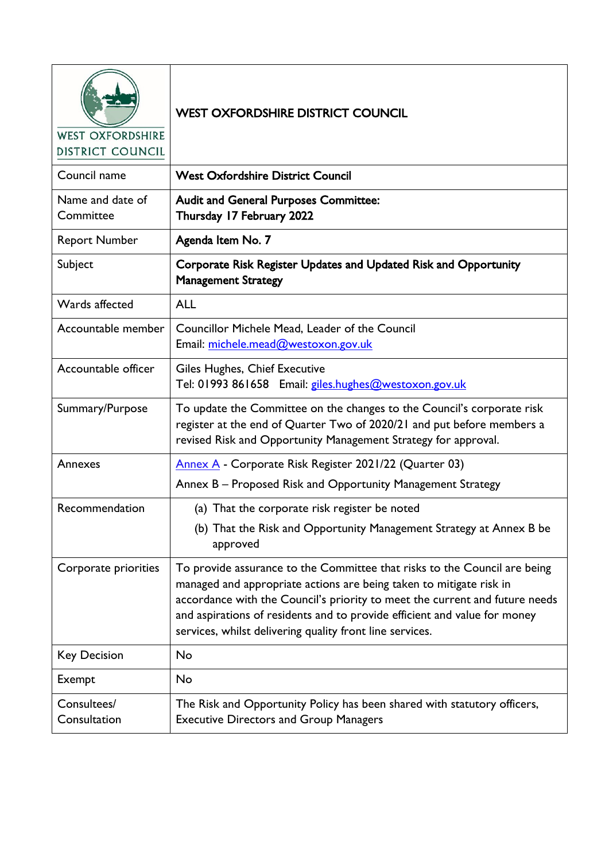| <b>WEST OXFORDSHIRE</b><br><b>DISTRICT COUNCIL</b> | <b>WEST OXFORDSHIRE DISTRICT COUNCIL</b>                                                                                                                                                                                                                                                                                                                                 |
|----------------------------------------------------|--------------------------------------------------------------------------------------------------------------------------------------------------------------------------------------------------------------------------------------------------------------------------------------------------------------------------------------------------------------------------|
| Council name                                       | <b>West Oxfordshire District Council</b>                                                                                                                                                                                                                                                                                                                                 |
| Name and date of<br>Committee                      | <b>Audit and General Purposes Committee:</b><br>Thursday 17 February 2022                                                                                                                                                                                                                                                                                                |
| <b>Report Number</b>                               | Agenda Item No. 7                                                                                                                                                                                                                                                                                                                                                        |
| Subject                                            | Corporate Risk Register Updates and Updated Risk and Opportunity<br><b>Management Strategy</b>                                                                                                                                                                                                                                                                           |
| Wards affected                                     | <b>ALL</b>                                                                                                                                                                                                                                                                                                                                                               |
| Accountable member                                 | Councillor Michele Mead, Leader of the Council<br>Email: michele.mead@westoxon.gov.uk                                                                                                                                                                                                                                                                                    |
| Accountable officer                                | Giles Hughes, Chief Executive<br>Tel: 01993 861658 Email: giles.hughes@westoxon.gov.uk                                                                                                                                                                                                                                                                                   |
| Summary/Purpose                                    | To update the Committee on the changes to the Council's corporate risk<br>register at the end of Quarter Two of 2020/21 and put before members a<br>revised Risk and Opportunity Management Strategy for approval.                                                                                                                                                       |
| Annexes                                            | Annex A - Corporate Risk Register 2021/22 (Quarter 03)                                                                                                                                                                                                                                                                                                                   |
|                                                    | Annex B - Proposed Risk and Opportunity Management Strategy                                                                                                                                                                                                                                                                                                              |
| Recommendation                                     | (a) That the corporate risk register be noted                                                                                                                                                                                                                                                                                                                            |
|                                                    | (b) That the Risk and Opportunity Management Strategy at Annex B be<br>approved                                                                                                                                                                                                                                                                                          |
| Corporate priorities                               | To provide assurance to the Committee that risks to the Council are being<br>managed and appropriate actions are being taken to mitigate risk in<br>accordance with the Council's priority to meet the current and future needs<br>and aspirations of residents and to provide efficient and value for money<br>services, whilst delivering quality front line services. |
| <b>Key Decision</b>                                | No                                                                                                                                                                                                                                                                                                                                                                       |
| Exempt                                             | No                                                                                                                                                                                                                                                                                                                                                                       |
| Consultees/<br>Consultation                        | The Risk and Opportunity Policy has been shared with statutory officers,<br><b>Executive Directors and Group Managers</b>                                                                                                                                                                                                                                                |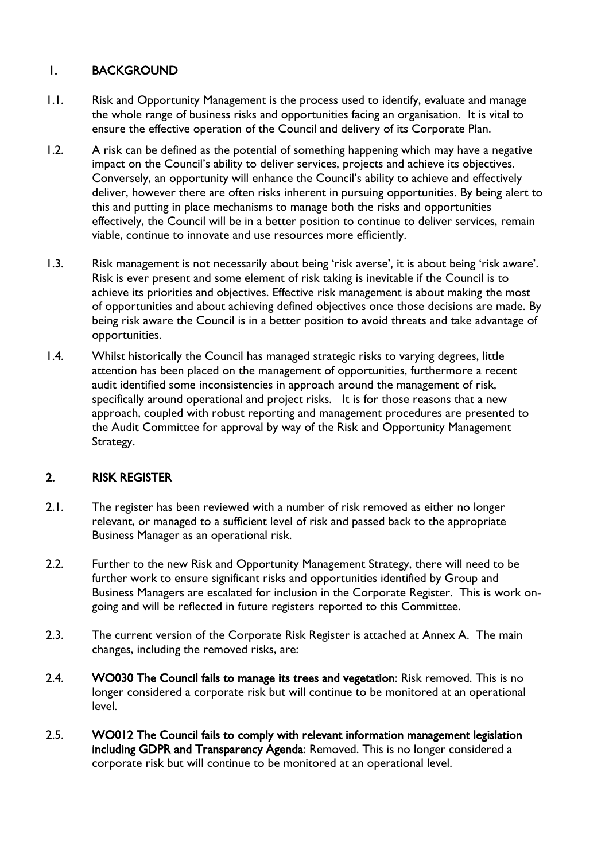### 1. BACKGROUND

- 1.1. Risk and Opportunity Management is the process used to identify, evaluate and manage the whole range of business risks and opportunities facing an organisation. It is vital to ensure the effective operation of the Council and delivery of its Corporate Plan.
- 1.2. A risk can be defined as the potential of something happening which may have a negative impact on the Council's ability to deliver services, projects and achieve its objectives. Conversely, an opportunity will enhance the Council's ability to achieve and effectively deliver, however there are often risks inherent in pursuing opportunities. By being alert to this and putting in place mechanisms to manage both the risks and opportunities effectively, the Council will be in a better position to continue to deliver services, remain viable, continue to innovate and use resources more efficiently.
- 1.3. Risk management is not necessarily about being 'risk averse', it is about being 'risk aware'. Risk is ever present and some element of risk taking is inevitable if the Council is to achieve its priorities and objectives. Effective risk management is about making the most of opportunities and about achieving defined objectives once those decisions are made. By being risk aware the Council is in a better position to avoid threats and take advantage of opportunities.
- 1.4. Whilst historically the Council has managed strategic risks to varying degrees, little attention has been placed on the management of opportunities, furthermore a recent audit identified some inconsistencies in approach around the management of risk, specifically around operational and project risks. It is for those reasons that a new approach, coupled with robust reporting and management procedures are presented to the Audit Committee for approval by way of the Risk and Opportunity Management Strategy.

### 2. RISK REGISTER

- 2.1. The register has been reviewed with a number of risk removed as either no longer relevant, or managed to a sufficient level of risk and passed back to the appropriate Business Manager as an operational risk.
- 2.2. Further to the new Risk and Opportunity Management Strategy, there will need to be further work to ensure significant risks and opportunities identified by Group and Business Managers are escalated for inclusion in the Corporate Register. This is work ongoing and will be reflected in future registers reported to this Committee.
- 2.3. The current version of the Corporate Risk Register is attached at Annex A. The main changes, including the removed risks, are:
- 2.4. WO030 The Council fails to manage its trees and vegetation: Risk removed. This is no longer considered a corporate risk but will continue to be monitored at an operational level.
- 2.5. WO012 The Council fails to comply with relevant information management legislation including GDPR and Transparency Agenda: Removed. This is no longer considered a corporate risk but will continue to be monitored at an operational level.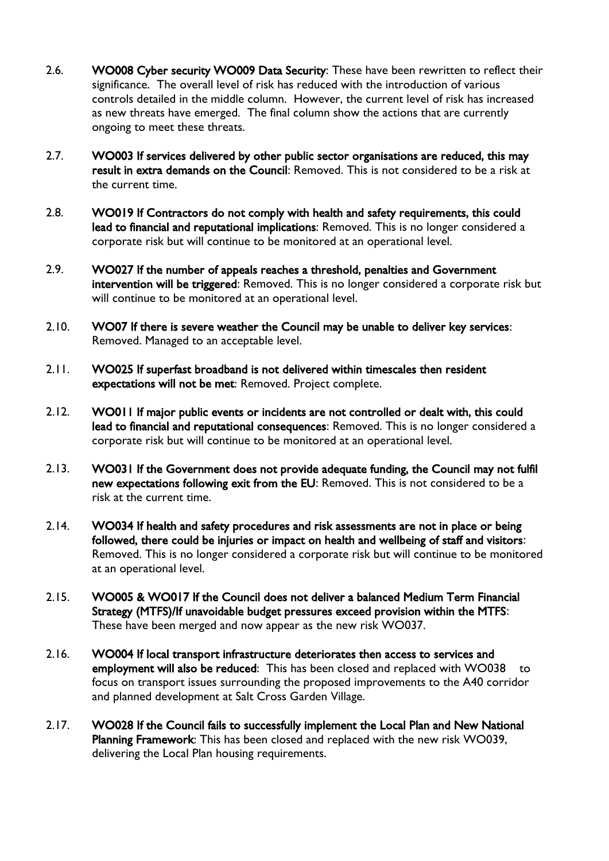- 2.6. WO008 Cyber security WO009 Data Security: These have been rewritten to reflect their significance. The overall level of risk has reduced with the introduction of various controls detailed in the middle column. However, the current level of risk has increased as new threats have emerged. The final column show the actions that are currently ongoing to meet these threats.
- 2.7. WO003 If services delivered by other public sector organisations are reduced, this may result in extra demands on the Council: Removed. This is not considered to be a risk at the current time.
- 2.8. WO019 If Contractors do not comply with health and safety requirements, this could lead to financial and reputational implications: Removed. This is no longer considered a corporate risk but will continue to be monitored at an operational level.
- 2.9. WO027 If the number of appeals reaches a threshold, penalties and Government intervention will be triggered: Removed. This is no longer considered a corporate risk but will continue to be monitored at an operational level.
- 2.10. WO07 If there is severe weather the Council may be unable to deliver key services: Removed. Managed to an acceptable level.
- 2.11. WO025 If superfast broadband is not delivered within timescales then resident expectations will not be met: Removed. Project complete.
- 2.12. WO011 If major public events or incidents are not controlled or dealt with, this could lead to financial and reputational consequences: Removed. This is no longer considered a corporate risk but will continue to be monitored at an operational level.
- 2.13. WO031 If the Government does not provide adequate funding, the Council may not fulfil new expectations following exit from the EU: Removed. This is not considered to be a risk at the current time.
- 2.14. WO034 If health and safety procedures and risk assessments are not in place or being followed, there could be injuries or impact on health and wellbeing of staff and visitors: Removed. This is no longer considered a corporate risk but will continue to be monitored at an operational level.
- 2.15. WO005 & WO017 If the Council does not deliver a balanced Medium Term Financial Strategy (MTFS)/If unavoidable budget pressures exceed provision within the MTFS: These have been merged and now appear as the new risk WO037.
- 2.16. WO004 If local transport infrastructure deteriorates then access to services and employment will also be reduced: This has been closed and replaced with WO038 to focus on transport issues surrounding the proposed improvements to the A40 corridor and planned development at Salt Cross Garden Village.
- 2.17. WO028 If the Council fails to successfully implement the Local Plan and New National Planning Framework: This has been closed and replaced with the new risk WO039, delivering the Local Plan housing requirements.